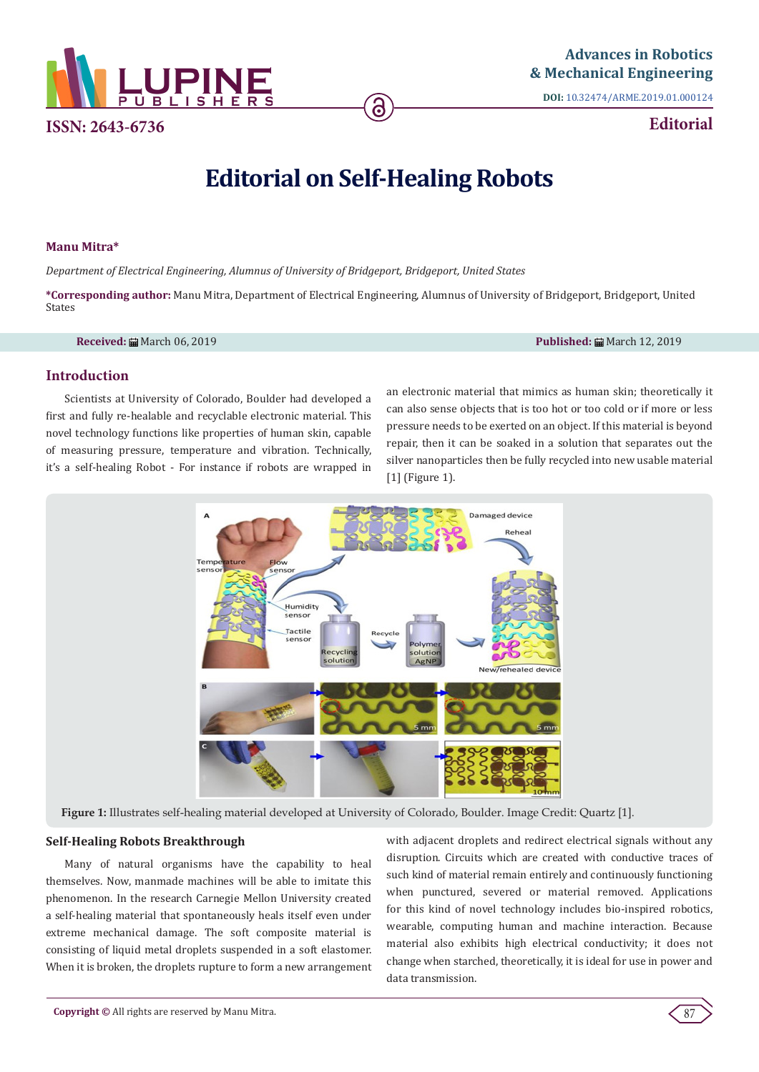

**ISSN: 2643-6736**

**DOI:** [10.32474/ARME.2019.01.000124](http://dx.doi.org/10.32474/ARME.2019.01.000124)

**Editorial**

# **Editorial on Self-Healing Robots**

ခြ

# **Manu Mitra\***

*Department of Electrical Engineering, Alumnus of University of Bridgeport, Bridgeport, United States*

**\*Corresponding author:** Manu Mitra, Department of Electrical Engineering, Alumnus of University of Bridgeport, Bridgeport, United States

**Received:** March 06, 2019 **Published:** March 12, 2019

# **Introduction**

Scientists at University of Colorado, Boulder had developed a first and fully re-healable and recyclable electronic material. This novel technology functions like properties of human skin, capable of measuring pressure, temperature and vibration. Technically, it's a self-healing Robot - For instance if robots are wrapped in

an electronic material that mimics as human skin; theoretically it can also sense objects that is too hot or too cold or if more or less pressure needs to be exerted on an object. If this material is beyond repair, then it can be soaked in a solution that separates out the silver nanoparticles then be fully recycled into new usable material [1] (Figure 1).



**Figure 1:** Illustrates self-healing material developed at University of Colorado, Boulder. Image Credit: Quartz [1].

# **Self-Healing Robots Breakthrough**

Many of natural organisms have the capability to heal themselves. Now, manmade machines will be able to imitate this phenomenon. In the research Carnegie Mellon University created a self-healing material that spontaneously heals itself even under extreme mechanical damage. The soft composite material is consisting of liquid metal droplets suspended in a soft elastomer. When it is broken, the droplets rupture to form a new arrangement with adjacent droplets and redirect electrical signals without any disruption. Circuits which are created with conductive traces of such kind of material remain entirely and continuously functioning when punctured, severed or material removed. Applications for this kind of novel technology includes bio-inspired robotics, wearable, computing human and machine interaction. Because material also exhibits high electrical conductivity; it does not change when starched, theoretically, it is ideal for use in power and data transmission.

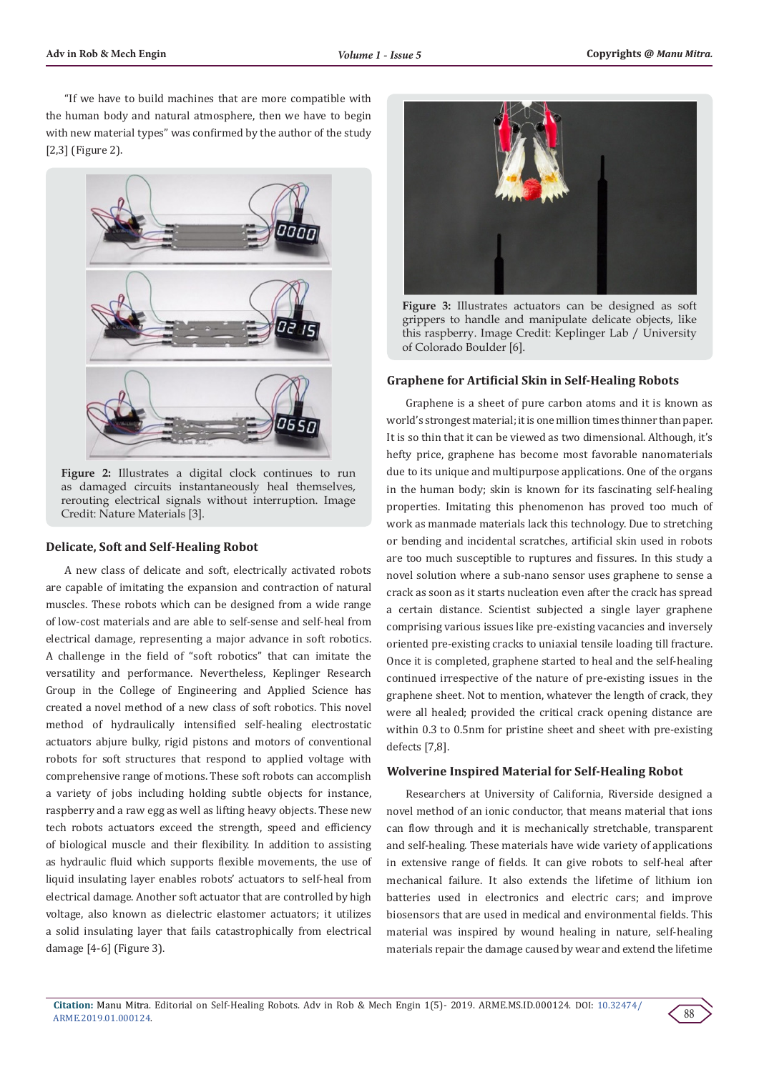"If we have to build machines that are more compatible with the human body and natural atmosphere, then we have to begin with new material types" was confirmed by the author of the study [2,3] (Figure 2).



Figure 2: Illustrates a digital clock continues to run as damaged circuits instantaneously heal themselves, rerouting electrical signals without interruption. Image Credit: Nature Materials [3].

#### **Delicate, Soft and Self-Healing Robot**

A new class of delicate and soft, electrically activated robots are capable of imitating the expansion and contraction of natural muscles. These robots which can be designed from a wide range of low-cost materials and are able to self-sense and self-heal from electrical damage, representing a major advance in soft robotics. A challenge in the field of "soft robotics" that can imitate the versatility and performance. Nevertheless, Keplinger Research Group in the College of Engineering and Applied Science has created a novel method of a new class of soft robotics. This novel method of hydraulically intensified self-healing electrostatic actuators abjure bulky, rigid pistons and motors of conventional robots for soft structures that respond to applied voltage with comprehensive range of motions. These soft robots can accomplish a variety of jobs including holding subtle objects for instance, raspberry and a raw egg as well as lifting heavy objects. These new tech robots actuators exceed the strength, speed and efficiency of biological muscle and their flexibility. In addition to assisting as hydraulic fluid which supports flexible movements, the use of liquid insulating layer enables robots' actuators to self-heal from electrical damage. Another soft actuator that are controlled by high voltage, also known as dielectric elastomer actuators; it utilizes a solid insulating layer that fails catastrophically from electrical damage [4-6] (Figure 3).



**Figure 3:** Illustrates actuators can be designed as soft grippers to handle and manipulate delicate objects, like this raspberry. Image Credit: Keplinger Lab / University of Colorado Boulder [6].

#### **Graphene for Artificial Skin in Self-Healing Robots**

Graphene is a sheet of pure carbon atoms and it is known as world's strongest material; it is one million times thinner than paper. It is so thin that it can be viewed as two dimensional. Although, it's hefty price, graphene has become most favorable nanomaterials due to its unique and multipurpose applications. One of the organs in the human body; skin is known for its fascinating self-healing properties. Imitating this phenomenon has proved too much of work as manmade materials lack this technology. Due to stretching or bending and incidental scratches, artificial skin used in robots are too much susceptible to ruptures and fissures. In this study a novel solution where a sub-nano sensor uses graphene to sense a crack as soon as it starts nucleation even after the crack has spread a certain distance. Scientist subjected a single layer graphene comprising various issues like pre-existing vacancies and inversely oriented pre-existing cracks to uniaxial tensile loading till fracture. Once it is completed, graphene started to heal and the self-healing continued irrespective of the nature of pre-existing issues in the graphene sheet. Not to mention, whatever the length of crack, they were all healed; provided the critical crack opening distance are within 0.3 to 0.5nm for pristine sheet and sheet with pre-existing defects [7,8].

## **Wolverine Inspired Material for Self-Healing Robot**

Researchers at University of California, Riverside designed a novel method of an ionic conductor, that means material that ions can flow through and it is mechanically stretchable, transparent and self-healing. These materials have wide variety of applications in extensive range of fields. It can give robots to self-heal after mechanical failure. It also extends the lifetime of lithium ion batteries used in electronics and electric cars; and improve biosensors that are used in medical and environmental fields. This material was inspired by wound healing in nature, self-healing materials repair the damage caused by wear and extend the lifetime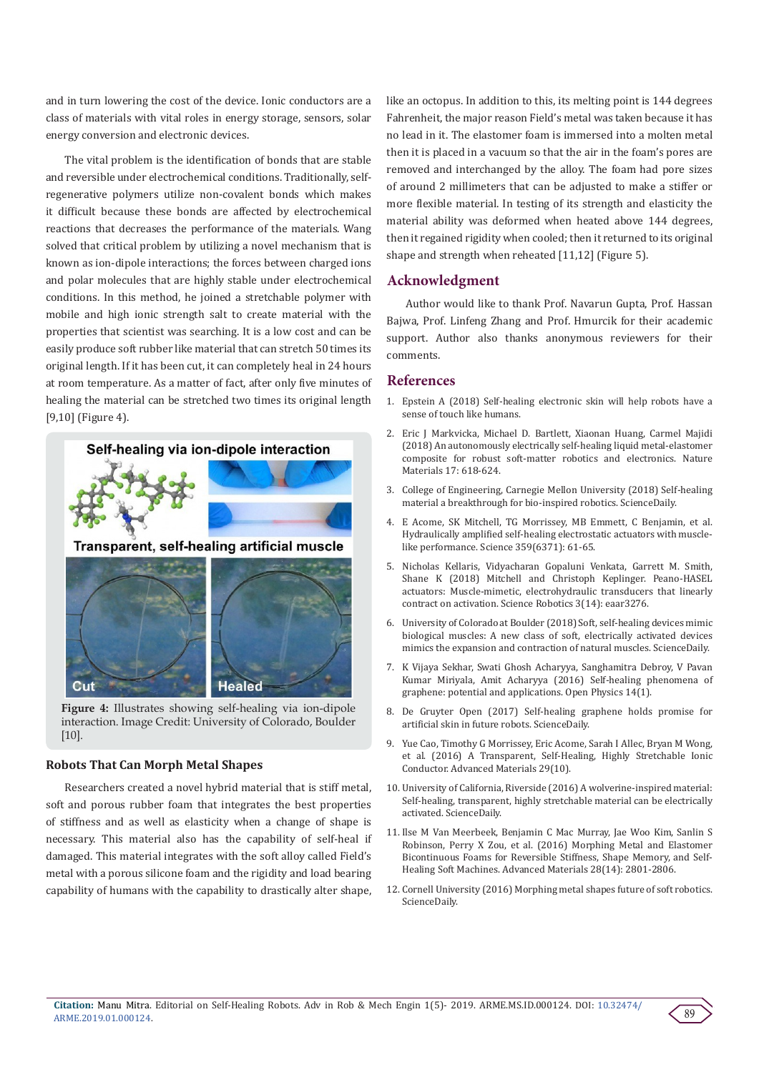and in turn lowering the cost of the device. Ionic conductors are a class of materials with vital roles in energy storage, sensors, solar energy conversion and electronic devices.

The vital problem is the identification of bonds that are stable and reversible under electrochemical conditions. Traditionally, selfregenerative polymers utilize non-covalent bonds which makes it difficult because these bonds are affected by electrochemical reactions that decreases the performance of the materials. Wang solved that critical problem by utilizing a novel mechanism that is known as ion-dipole interactions; the forces between charged ions and polar molecules that are highly stable under electrochemical conditions. In this method, he joined a stretchable polymer with mobile and high ionic strength salt to create material with the properties that scientist was searching. It is a low cost and can be easily produce soft rubber like material that can stretch 50 times its original length. If it has been cut, it can completely heal in 24 hours at room temperature. As a matter of fact, after only five minutes of healing the material can be stretched two times its original length [9,10] (Figure 4).



**Figure 4:** Illustrates showing self-healing via ion-dipole interaction. Image Credit: University of Colorado, Boulder [10].

#### **Robots That Can Morph Metal Shapes**

Researchers created a novel hybrid material that is stiff metal, soft and porous rubber foam that integrates the best properties of stiffness and as well as elasticity when a change of shape is necessary. This material also has the capability of self-heal if damaged. This material integrates with the soft alloy called Field's metal with a porous silicone foam and the rigidity and load bearing capability of humans with the capability to drastically alter shape, like an octopus. In addition to this, its melting point is 144 degrees Fahrenheit, the major reason Field's metal was taken because it has no lead in it. The elastomer foam is immersed into a molten metal then it is placed in a vacuum so that the air in the foam's pores are removed and interchanged by the alloy. The foam had pore sizes of around 2 millimeters that can be adjusted to make a stiffer or more flexible material. In testing of its strength and elasticity the material ability was deformed when heated above 144 degrees, then it regained rigidity when cooled; then it returned to its original shape and strength when reheated [11,12] (Figure 5).

### **Acknowledgment**

Author would like to thank Prof. Navarun Gupta, Prof. Hassan Bajwa, Prof. Linfeng Zhang and Prof. Hmurcik for their academic support. Author also thanks anonymous reviewers for their comments.

## **References**

- 1. [Epstein A \(2018\) Self-healing electronic skin will help robots have a](https://qz.com/1204490/self-healing-electronic-skin-will-help-robots-have-a-sense-of-touch-like-humans/) [sense of touch like humans.](https://qz.com/1204490/self-healing-electronic-skin-will-help-robots-have-a-sense-of-touch-like-humans/)
- 2. [Eric J Markvicka, Michael D. Bartlett, Xiaonan Huang, Carmel Majidi](https://www.nature.com/articles/s41563-018-0084-7) [\(2018\) An autonomously electrically self-healing liquid metal-elastomer](https://www.nature.com/articles/s41563-018-0084-7) [composite for robust soft-matter robotics and electronics. Nature](https://www.nature.com/articles/s41563-018-0084-7) [Materials 17: 618-624.](https://www.nature.com/articles/s41563-018-0084-7)
- 3. [College of Engineering, Carnegie Mellon University \(2018\) Self-healing](https://www.sciencedaily.com/releases/2018/05/180521131748.htm) [material a breakthrough for bio-inspired robotics. ScienceDaily.](https://www.sciencedaily.com/releases/2018/05/180521131748.htm)
- 4. [E Acome, SK Mitchell, TG Morrissey, MB Emmett, C Benjamin, et al.](http://science.sciencemag.org/content/359/6371/61) [Hydraulically amplified self-healing electrostatic actuators with muscle](http://science.sciencemag.org/content/359/6371/61)[like performance. Science 359\(6371\): 61-65.](http://science.sciencemag.org/content/359/6371/61)
- 5. [Nicholas Kellaris, Vidyacharan Gopaluni Venkata, Garrett M. Smith,](http://robotics.sciencemag.org/content/3/14/eaar3276) [Shane K \(2018\) Mitchell and Christoph Keplinger. Peano-HASEL](http://robotics.sciencemag.org/content/3/14/eaar3276) [actuators: Muscle-mimetic, electrohydraulic transducers that linearly](http://robotics.sciencemag.org/content/3/14/eaar3276) [contract on activation. Science Robotics 3\(14\): eaar3276.](http://robotics.sciencemag.org/content/3/14/eaar3276)
- 6. [University of Colorado at Boulder \(2018\) Soft, self-healing devices mimic](https://www.sciencedaily.com/releases/2018/01/180104153509.htm) [biological muscles: A new class of soft, electrically activated devices](https://www.sciencedaily.com/releases/2018/01/180104153509.htm) [mimics the expansion and contraction of natural muscles. ScienceDaily.](https://www.sciencedaily.com/releases/2018/01/180104153509.htm)
- 7. [K Vijaya Sekhar, Swati Ghosh Acharyya, Sanghamitra Debroy, V Pavan](https://www.degruyter.com/view/j/phys.2016.14.issue-1/phys-2016-0040/phys-2016-0040.xml) [Kumar Miriyala, Amit Acharyya \(2016\) Self-healing phenomena of](https://www.degruyter.com/view/j/phys.2016.14.issue-1/phys-2016-0040/phys-2016-0040.xml) [graphene: potential and applications. Open Physics 14\(1\).](https://www.degruyter.com/view/j/phys.2016.14.issue-1/phys-2016-0040/phys-2016-0040.xml)
- 8. [De Gruyter Open \(2017\) Self-healing graphene holds promise for](https://www.sciencedaily.com/releases/2017/03/170321125011.htm) [artificial skin in future robots. ScienceDaily.](https://www.sciencedaily.com/releases/2017/03/170321125011.htm)
- 9. [Yue Cao, Timothy G Morrissey, Eric Acome, Sarah I Allec, Bryan M Wong,](https://onlinelibrary.wiley.com/doi/full/10.1002/adma.201605099) [et al. \(2016\) A Transparent, Self-Healing, Highly Stretchable Ionic](https://onlinelibrary.wiley.com/doi/full/10.1002/adma.201605099) [Conductor. Advanced Materials 29\(10\).](https://onlinelibrary.wiley.com/doi/full/10.1002/adma.201605099)
- 10. [University of California, Riverside \(2016\) A wolverine-inspired material:](https://www.sciencedaily.com/releases/2016/12/161225231953.htm) [Self-healing, transparent, highly stretchable material can be electrically](https://www.sciencedaily.com/releases/2016/12/161225231953.htm) [activated. ScienceDaily.](https://www.sciencedaily.com/releases/2016/12/161225231953.htm)
- 11. [Ilse M Van Meerbeek, Benjamin C Mac Murray, Jae Woo Kim, Sanlin S](https://onlinelibrary.wiley.com/doi/full/10.1002/adma.201505991) [Robinson, Perry X Zou, et al. \(2016\) Morphing Metal and Elastomer](https://onlinelibrary.wiley.com/doi/full/10.1002/adma.201505991) [Bicontinuous Foams for Reversible Stiffness, Shape Memory, and Self-](https://onlinelibrary.wiley.com/doi/full/10.1002/adma.201505991)[Healing Soft Machines. Advanced Materials 28\(14\): 2801-2806.](https://onlinelibrary.wiley.com/doi/full/10.1002/adma.201505991)
- 12. [Cornell University \(2016\) Morphing metal shapes future of soft robotics.](https://www.sciencedaily.com/releases/2016/03/160321110318.htm) [ScienceDaily.](https://www.sciencedaily.com/releases/2016/03/160321110318.htm)